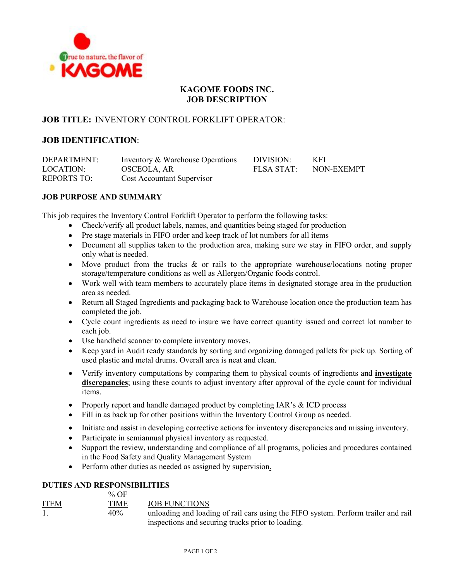

# **KAGOME FOODS INC. JOB DESCRIPTION**

### **JOB TITLE:** INVENTORY CONTROL FORKLIFT OPERATOR:

## **JOB IDENTIFICATION**:

DEPARTMENT: Inventory & Warehouse Operations DIVISION: KFI LOCATION: OSCEOLA, AR FLSA STAT: NON-EXEMPT REPORTS TO: Cost Accountant Supervisor

### **JOB PURPOSE AND SUMMARY**

This job requires the Inventory Control Forklift Operator to perform the following tasks:

- Check/verify all product labels, names, and quantities being staged for production
- Pre stage materials in FIFO order and keep track of lot numbers for all items
- Document all supplies taken to the production area, making sure we stay in FIFO order, and supply only what is needed.
- Move product from the trucks & or rails to the appropriate warehouse/locations noting proper storage/temperature conditions as well as Allergen/Organic foods control.
- Work well with team members to accurately place items in designated storage area in the production area as needed.
- Return all Staged Ingredients and packaging back to Warehouse location once the production team has completed the job.
- Cycle count ingredients as need to insure we have correct quantity issued and correct lot number to each job.
- Use handheld scanner to complete inventory moves.
- Keep yard in Audit ready standards by sorting and organizing damaged pallets for pick up. Sorting of used plastic and metal drums. Overall area is neat and clean.
- Verify inventory computations by comparing them to physical counts of ingredients and **investigate discrepancies**; using these counts to adjust inventory after approval of the cycle count for individual items.
- Properly report and handle damaged product by completing IAR's & ICD process
- Fill in as back up for other positions within the Inventory Control Group as needed.
- Initiate and assist in developing corrective actions for inventory discrepancies and missing inventory.
- Participate in semiannual physical inventory as requested.
- Support the review, understanding and compliance of all programs, policies and procedures contained in the Food Safety and Quality Management System
- Perform other duties as needed as assigned by supervision.

#### **DUTIES AND RESPONSIBILITIES**  $0/2E$

|             | 70 V.F |                                                                                    |
|-------------|--------|------------------------------------------------------------------------------------|
| <b>ITEM</b> | TIME   | JOB FUNCTIONS                                                                      |
|             | 40%    | unloading and loading of rail cars using the FIFO system. Perform trailer and rail |
|             |        | inspections and securing trucks prior to loading.                                  |